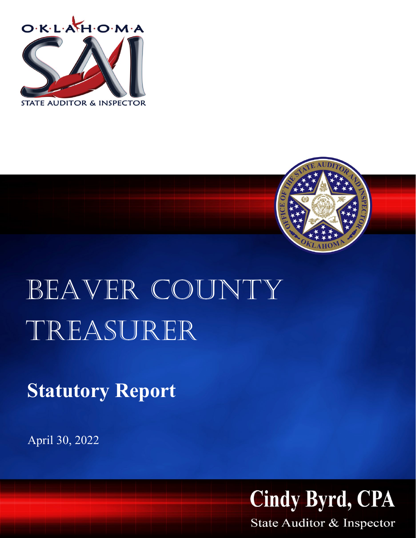



## BEAVER COUNTY Treasurer

**Statutory Report**

April 30, 2022



State Auditor & Inspector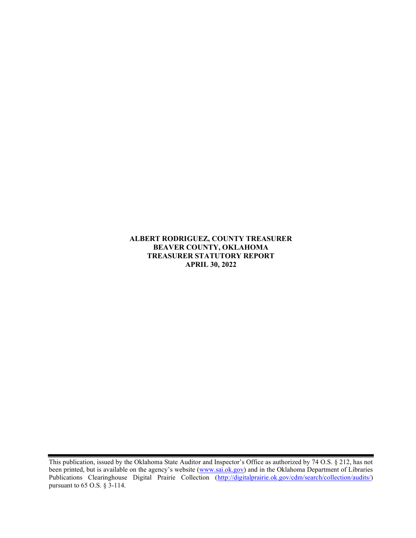## ALBERT RODRIGUEZ, COUNTY TREASURER BEAVER COUNTY, OKLAHOMA TREASURER STATUTORY REPORT APRIL 30, 2022

This publication, issued by the Oklahoma State Auditor and Inspector's Office as authorized by 74 O.S. § 212, has not been printed, but is available on the agency's website (www.sai.ok.gov) and in the Oklahoma Department of Libraries Publications Clearinghouse Digital Prairie Collection (http://digitalprairie.ok.gov/cdm/search/collection/audits/) pursuant to 65 O.S. § 3-114.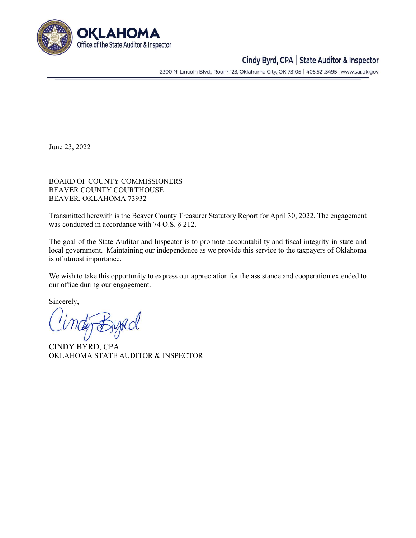

## Cindy Byrd, CPA | State Auditor & Inspector

2300 N. Lincoln Blvd., Room 123, Oklahoma City, OK 73105 | 405.521.3495 | www.sai.ok.gov

June 23, 2022

BOARD OF COUNTY COMMISSIONERS BEAVER COUNTY COURTHOUSE BEAVER, OKLAHOMA 73932

Transmitted herewith is the Beaver County Treasurer Statutory Report for April 30, 2022. The engagement was conducted in accordance with 74 O.S. § 212.

The goal of the State Auditor and Inspector is to promote accountability and fiscal integrity in state and local government. Maintaining our independence as we provide this service to the taxpayers of Oklahoma is of utmost importance.

We wish to take this opportunity to express our appreciation for the assistance and cooperation extended to our office during our engagement.

Sincerely,

CINDY BYRD, CPA OKLAHOMA STATE AUDITOR & INSPECTOR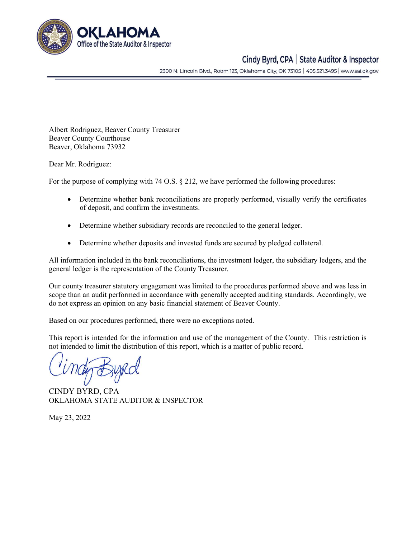

## Cindy Byrd, CPA | State Auditor & Inspector

2300 N. Lincoln Blvd., Room 123, Oklahoma City, OK 73105 | 405.521.3495 | www.sai.ok.gov

Albert Rodriguez, Beaver County Treasurer Beaver County Courthouse Beaver, Oklahoma 73932

Dear Mr. Rodriguez:

For the purpose of complying with 74 O.S. § 212, we have performed the following procedures:

- Determine whether bank reconciliations are properly performed, visually verify the certificates of deposit, and confirm the investments.
- Determine whether subsidiary records are reconciled to the general ledger.
- Determine whether deposits and invested funds are secured by pledged collateral.

All information included in the bank reconciliations, the investment ledger, the subsidiary ledgers, and the general ledger is the representation of the County Treasurer.

Our county treasurer statutory engagement was limited to the procedures performed above and was less in scope than an audit performed in accordance with generally accepted auditing standards. Accordingly, we do not express an opinion on any basic financial statement of Beaver County.

Based on our procedures performed, there were no exceptions noted.

This report is intended for the information and use of the management of the County. This restriction is not intended to limit the distribution of this report, which is a matter of public record.

CINDY BYRD, CPA OKLAHOMA STATE AUDITOR & INSPECTOR

May 23, 2022